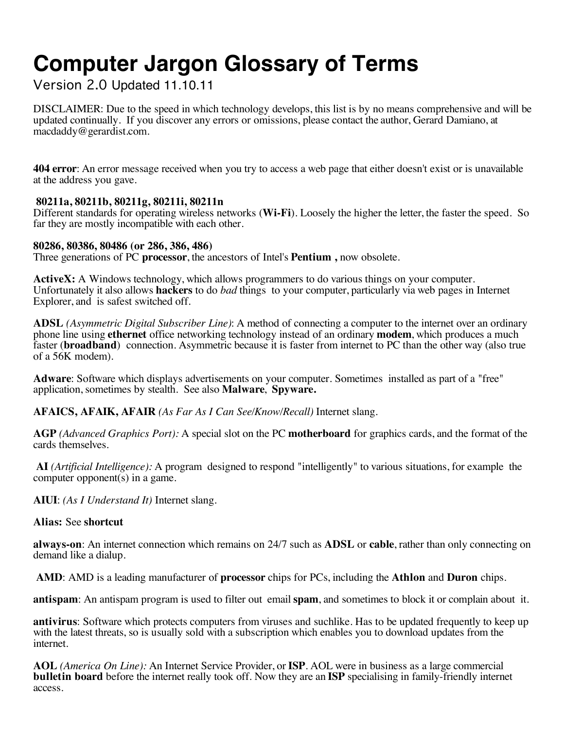# **Computer Jargon Glossary of Terms**

Version 2.0 Updated 11.10.11

DISCLAIMER: Due to the speed in which technology develops, this list is by no means comprehensive and will be updated continually. If you discover any errors or omissions, please contact the author, Gerard Damiano, at macdaddy@gerardist.com.

**404 error**: An error message received when you try to access a web page that either doesn't exist or is unavailable at the address you gave.

# **80211a, 80211b, 80211g, 80211i, 80211n**

Different standards for operating wireless networks (**Wi-Fi**). Loosely the higher the letter, the faster the speed. So far they are mostly incompatible with each other.

# **80286, 80386, 80486 (or 286, 386, 486)**

Three generations of PC **processor**, the ancestors of Intel's **Pentium ,** now obsolete.

**ActiveX:** A Windows technology, which allows programmers to do various things on your computer. Unfortunately it also allows **hackers** to do *bad* things to your computer, particularly via web pages in Internet Explorer, and is safest switched off.

**ADSL** *(Asymmetric Digital Subscriber Line)*: A method of connecting a computer to the internet over an ordinary phone line using **ethernet** office networking technology instead of an ordinary **modem**, which produces a much faster (**broadband**) connection. Asymmetric because it is faster from internet to PC than the other way (also true of a 56K modem).

**Adware**: Software which displays advertisements on your computer. Sometimes installed as part of a "free" application, sometimes by stealth. See also **Malware**, **Spyware.**

**AFAICS, AFAIK, AFAIR** *(As Far As I Can See/Know/Recall)* Internet slang.

**AGP** *(Advanced Graphics Port):* A special slot on the PC **motherboard** for graphics cards, and the format of the cards themselves.

**AI** *(Artificial Intelligence):* A program designed to respond "intelligently" to various situations, for example the computer opponent(s) in a game.

**AIUI**: *(As I Understand It)* Internet slang.

## **Alias:** See **shortcut**

**always-on**: An internet connection which remains on 24/7 such as **ADSL** or **cable**, rather than only connecting on demand like a dialup.

 **AMD**: AMD is a leading manufacturer of **processor** chips for PCs, including the **Athlon** and **Duron** chips.

**antispam**: An antispam program is used to filter out email **spam**, and sometimes to block it or complain about it.

**antivirus**: Software which protects computers from viruses and suchlike. Has to be updated frequently to keep up with the latest threats, so is usually sold with a subscription which enables you to download updates from the internet.

**AOL** *(America On Line):* An Internet Service Provider, or **ISP**. AOL were in business as a large commercial **bulletin board** before the internet really took off. Now they are an **ISP** specialising in family-friendly internet access.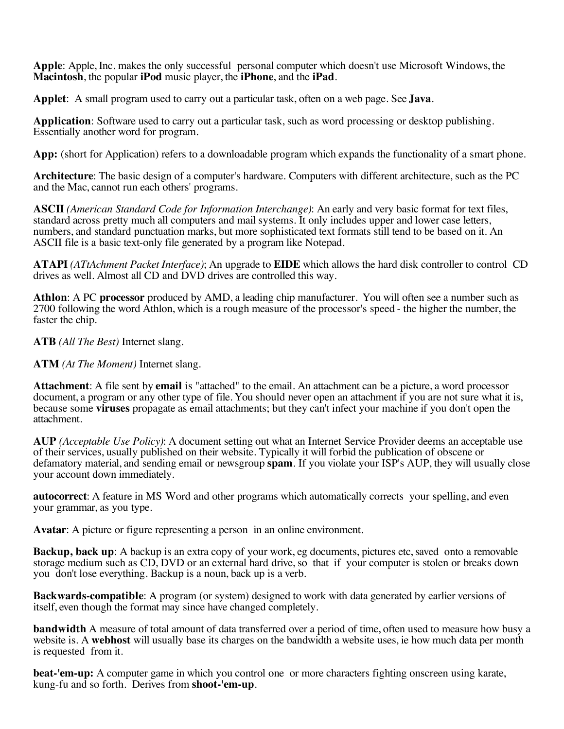**Apple**: Apple, Inc. makes the only successful personal computer which doesn't use Microsoft Windows, the **Macintosh**, the popular **iPod** music player, the **iPhone**, and the **iPad**.

**Applet**: A small program used to carry out a particular task, often on a web page. See **Java**.

**Application**: Software used to carry out a particular task, such as word processing or desktop publishing. Essentially another word for program.

**App:** (short for Application) refers to a downloadable program which expands the functionality of a smart phone.

**Architecture**: The basic design of a computer's hardware. Computers with different architecture, such as the PC and the Mac, cannot run each others' programs.

**ASCII** *(American Standard Code for Information Interchange)*: An early and very basic format for text files, standard across pretty much all computers and mail systems. It only includes upper and lower case letters, numbers, and standard punctuation marks, but more sophisticated text formats still tend to be based on it. An ASCII file is a basic text-only file generated by a program like Notepad.

**ATAPI** *(ATtAchment Packet Interface)*; An upgrade to **EIDE** which allows the hard disk controller to control CD drives as well. Almost all CD and DVD drives are controlled this way.

**Athlon**: A PC **processor** produced by AMD, a leading chip manufacturer. You will often see a number such as 2700 following the word Athlon, which is a rough measure of the processor's speed - the higher the number, the faster the chip.

**ATB** *(All The Best)* Internet slang.

**ATM** *(At The Moment)* Internet slang.

**Attachment**: A file sent by **email** is "attached" to the email. An attachment can be a picture, a word processor document, a program or any other type of file. You should never open an attachment if you are not sure what it is, because some **viruses** propagate as email attachments; but they can't infect your machine if you don't open the attachment.

**AUP** *(Acceptable Use Policy)*: A document setting out what an Internet Service Provider deems an acceptable use of their services, usually published on their website. Typically it will forbid the publication of obscene or defamatory material, and sending email or newsgroup **spam**. If you violate your ISP's AUP, they will usually close your account down immediately.

**autocorrect**: A feature in MS Word and other programs which automatically corrects your spelling, and even your grammar, as you type.

**Avatar**: A picture or figure representing a person in an online environment.

**Backup, back up**: A backup is an extra copy of your work, eg documents, pictures etc, saved onto a removable storage medium such as CD, DVD or an external hard drive, so that if your computer is stolen or breaks down you don't lose everything. Backup is a noun, back up is a verb.

**Backwards-compatible**: A program (or system) designed to work with data generated by earlier versions of itself, even though the format may since have changed completely.

**bandwidth** A measure of total amount of data transferred over a period of time, often used to measure how busy a website is. A **webhost** will usually base its charges on the bandwidth a website uses, ie how much data per month is requested from it.

**beat-'em-up:** A computer game in which you control one or more characters fighting onscreen using karate, kung-fu and so forth. Derives from **shoot-'em-up**.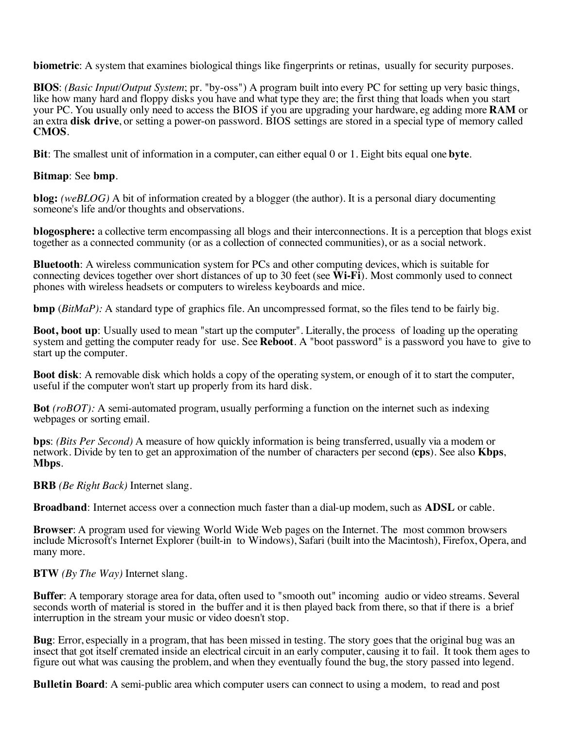**biometric**: A system that examines biological things like fingerprints or retinas, usually for security purposes.

**BIOS**: *(Basic Input/Output System*; pr. "by-oss") A program built into every PC for setting up very basic things, like how many hard and floppy disks you have and what type they are; the first thing that loads when you start your PC. You usually only need to access the BIOS if you are upgrading your hardware, eg adding more **RAM** or an extra **disk drive**, or setting a power-on password. BIOS settings are stored in a special type of memory called **CMOS**.

**Bit**: The smallest unit of information in a computer, can either equal 0 or 1. Eight bits equal one **byte**.

#### **Bitmap**: See **bmp**.

**blog:** *(weBLOG)* A bit of information created by a blogger (the author). It is a personal diary documenting someone's life and/or thoughts and observations.

**blogosphere:** a collective term encompassing all blogs and their interconnections. It is a perception that blogs exist together as a connected community (or as a collection of connected communities), or as a social network.

**Bluetooth**: A wireless communication system for PCs and other computing devices, which is suitable for connecting devices together over short distances of up to 30 feet (see **Wi-Fi**). Most commonly used to connect phones with wireless headsets or computers to wireless keyboards and mice.

**bmp** (*BitMaP*): A standard type of graphics file. An uncompressed format, so the files tend to be fairly big.

**Boot, boot up**: Usually used to mean "start up the computer". Literally, the process of loading up the operating system and getting the computer ready for use. See **Reboot**. A "boot password" is a password you have to give to start up the computer.

**Boot disk**: A removable disk which holds a copy of the operating system, or enough of it to start the computer, useful if the computer won't start up properly from its hard disk.

**Bot** *(roBOT):* A semi-automated program, usually performing a function on the internet such as indexing webpages or sorting email.

**bps**: *(Bits Per Second)* A measure of how quickly information is being transferred, usually via a modem or network. Divide by ten to get an approximation of the number of characters per second (**cps**). See also **Kbps**, **Mbps**.

**BRB** *(Be Right Back)* Internet slang.

**Broadband**: Internet access over a connection much faster than a dial-up modem, such as **ADSL** or cable.

**Browser**: A program used for viewing World Wide Web pages on the Internet. The most common browsers include Microsoft's Internet Explorer (built-in to Windows), Safari (built into the Macintosh), Firefox, Opera, and many more.

**BTW** *(By The Way)* Internet slang.

**Buffer**: A temporary storage area for data, often used to "smooth out" incoming audio or video streams. Several seconds worth of material is stored in the buffer and it is then played back from there, so that if there is a brief interruption in the stream your music or video doesn't stop.

**Bug**: Error, especially in a program, that has been missed in testing. The story goes that the original bug was an insect that got itself cremated inside an electrical circuit in an early computer, causing it to fail. It took them ages to figure out what was causing the problem, and when they eventually found the bug, the story passed into legend.

**Bulletin Board**: A semi-public area which computer users can connect to using a modem, to read and post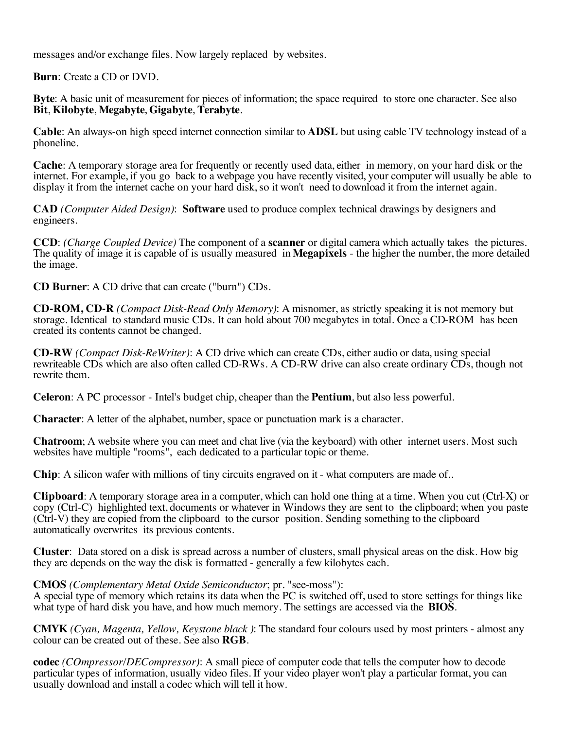messages and/or exchange files. Now largely replaced by websites.

**Burn**: Create a CD or DVD.

**Byte**: A basic unit of measurement for pieces of information; the space required to store one character. See also **Bit**, **Kilobyte**, **Megabyte**, **Gigabyte**, **Terabyte**.

**Cable**: An always-on high speed internet connection similar to **ADSL** but using cable TV technology instead of a phoneline.

**Cache**: A temporary storage area for frequently or recently used data, either in memory, on your hard disk or the internet. For example, if you go back to a webpage you have recently visited, your computer will usually be able to display it from the internet cache on your hard disk, so it won't need to download it from the internet again.

**CAD** *(Computer Aided Design)*: **Software** used to produce complex technical drawings by designers and engineers.

**CCD**: *(Charge Coupled Device)* The component of a **scanner** or digital camera which actually takes the pictures. The quality of image it is capable of is usually measured in **Megapixels** - the higher the number, the more detailed the image.

**CD Burner**: A CD drive that can create ("burn") CDs.

**CD-ROM, CD-R** *(Compact Disk-Read Only Memory)*: A misnomer, as strictly speaking it is not memory but storage. Identical to standard music CDs. It can hold about 700 megabytes in total. Once a CD-ROM has been created its contents cannot be changed.

**CD-RW** *(Compact Disk-ReWriter)*: A CD drive which can create CDs, either audio or data, using special rewriteable CDs which are also often called CD-RWs. A CD-RW drive can also create ordinary CDs, though not rewrite them.

**Celeron**: A PC processor - Intel's budget chip, cheaper than the **Pentium**, but also less powerful.

**Character**: A letter of the alphabet, number, space or punctuation mark is a character.

**Chatroom**; A website where you can meet and chat live (via the keyboard) with other internet users. Most such websites have multiple "rooms", each dedicated to a particular topic or theme.

**Chip**: A silicon wafer with millions of tiny circuits engraved on it - what computers are made of..

**Clipboard**: A temporary storage area in a computer, which can hold one thing at a time. When you cut (Ctrl-X) or copy (Ctrl-C) highlighted text, documents or whatever in Windows they are sent to the clipboard; when you paste (Ctrl-V) they are copied from the clipboard to the cursor position. Sending something to the clipboard automatically overwrites its previous contents.

**Cluster**: Data stored on a disk is spread across a number of clusters, small physical areas on the disk. How big they are depends on the way the disk is formatted - generally a few kilobytes each.

#### **CMOS** *(Complementary Metal Oxide Semiconductor*; pr. "see-moss"):

A special type of memory which retains its data when the PC is switched off, used to store settings for things like what type of hard disk you have, and how much memory. The settings are accessed via the **BIOS**.

**CMYK** *(Cyan, Magenta, Yellow, Keystone black )*: The standard four colours used by most printers - almost any colour can be created out of these. See also **RGB**.

**codec** *(COmpressor/DECompressor)*: A small piece of computer code that tells the computer how to decode particular types of information, usually video files. If your video player won't play a particular format, you can usually download and install a codec which will tell it how.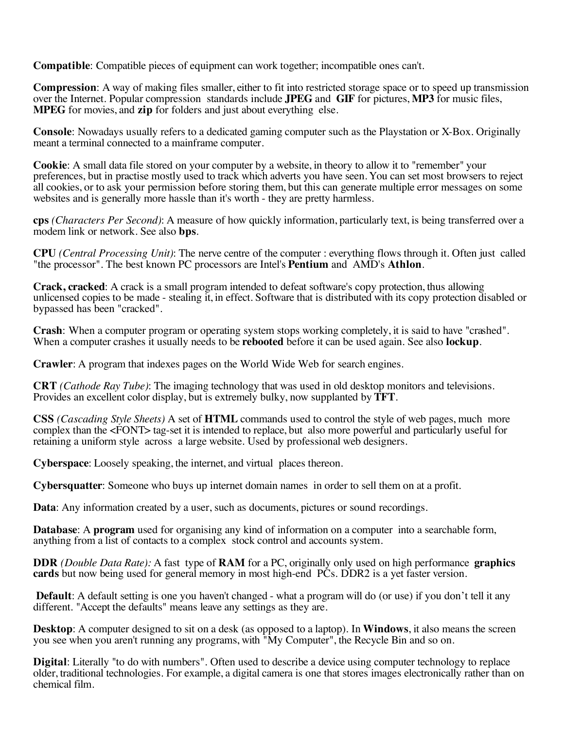**Compatible**: Compatible pieces of equipment can work together; incompatible ones can't.

**Compression**: A way of making files smaller, either to fit into restricted storage space or to speed up transmission over the Internet. Popular compression standards include **JPEG** and **GIF** for pictures, **MP3** for music files, **MPEG** for movies, and **zip** for folders and just about everything else.

**Console**: Nowadays usually refers to a dedicated gaming computer such as the Playstation or X-Box. Originally meant a terminal connected to a mainframe computer.

**Cookie**: A small data file stored on your computer by a website, in theory to allow it to "remember" your preferences, but in practise mostly used to track which adverts you have seen. You can set most browsers to reject all cookies, or to ask your permission before storing them, but this can generate multiple error messages on some websites and is generally more hassle than it's worth - they are pretty harmless.

**cps** *(Characters Per Second)*: A measure of how quickly information, particularly text, is being transferred over a modem link or network. See also **bps**.

**CPU** *(Central Processing Unit)*: The nerve centre of the computer : everything flows through it. Often just called "the processor". The best known PC processors are Intel's **Pentium** and AMD's **Athlon**.

**Crack, cracked**: A crack is a small program intended to defeat software's copy protection, thus allowing unlicensed copies to be made - stealing it, in effect. Software that is distributed with its copy protection disabled or bypassed has been "cracked".

**Crash**: When a computer program or operating system stops working completely, it is said to have "crashed". When a computer crashes it usually needs to be **rebooted** before it can be used again. See also **lockup**.

**Crawler**: A program that indexes pages on the World Wide Web for search engines.

**CRT** *(Cathode Ray Tube)*: The imaging technology that was used in old desktop monitors and televisions. Provides an excellent color display, but is extremely bulky, now supplanted by **TFT**.

**CSS** *(Cascading Style Sheets)* A set of **HTML** commands used to control the style of web pages, much more complex than the <FONT> tag-set it is intended to replace, but also more powerful and particularly useful for retaining a uniform style across a large website. Used by professional web designers.

**Cyberspace**: Loosely speaking, the internet, and virtual places thereon.

**Cybersquatter**: Someone who buys up internet domain names in order to sell them on at a profit.

**Data**: Any information created by a user, such as documents, pictures or sound recordings.

**Database**: A **program** used for organising any kind of information on a computer into a searchable form, anything from a list of contacts to a complex stock control and accounts system.

**DDR** *(Double Data Rate):* A fast type of **RAM** for a PC, originally only used on high performance **graphics cards** but now being used for general memory in most high-end PCs. DDR2 is a yet faster version.

**Default**: A default setting is one you haven't changed - what a program will do (or use) if you don't tell it any different. "Accept the defaults" means leave any settings as they are.

**Desktop**: A computer designed to sit on a desk (as opposed to a laptop). In **Windows**, it also means the screen you see when you aren't running any programs, with "My Computer", the Recycle Bin and so on.

**Digital:** Literally "to do with numbers". Often used to describe a device using computer technology to replace older, traditional technologies. For example, a digital camera is one that stores images electronically rather than on chemical film.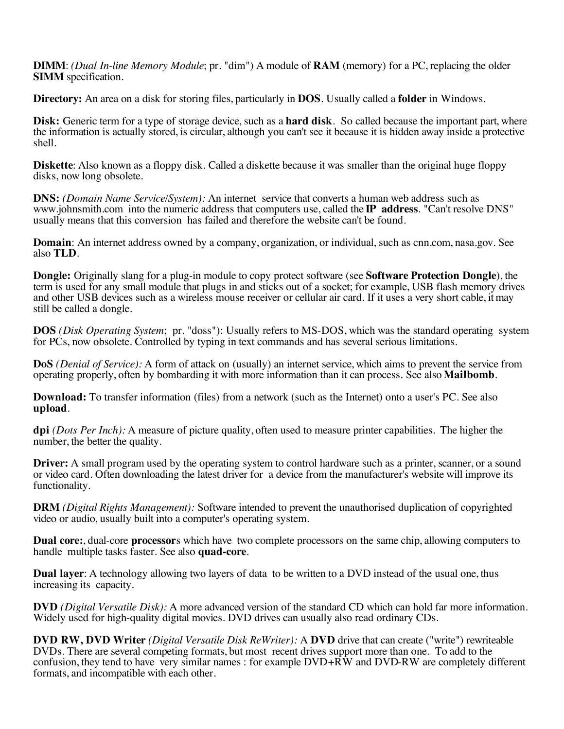**DIMM**: *(Dual In-line Memory Module*; pr. "dim") A module of **RAM** (memory) for a PC, replacing the older **SIMM** specification.

**Directory:** An area on a disk for storing files, particularly in **DOS**. Usually called a **folder** in Windows.

**Disk:** Generic term for a type of storage device, such as a **hard disk**. So called because the important part, where the information is actually stored, is circular, although you can't see it because it is hidden away inside a protective shell.

**Diskette**: Also known as a floppy disk. Called a diskette because it was smaller than the original huge floppy disks, now long obsolete.

**DNS:** *(Domain Name Service/System):* An internet service that converts a human web address such as www.johnsmith.com into the numeric address that computers use, called the **IP address**. "Can't resolve DNS" usually means that this conversion has failed and therefore the website can't be found.

**Domain**: An internet address owned by a company, organization, or individual, such as cnn.com, nasa.gov. See also **TLD**.

**Dongle:** Originally slang for a plug-in module to copy protect software (see **Software Protection Dongle**), the term is used for any small module that plugs in and sticks out of a socket; for example, USB flash memory drives and other USB devices such as a wireless mouse receiver or cellular air card. If it uses a very short cable, it may still be called a dongle.

**DOS** *(Disk Operating System*; pr. "doss"): Usually refers to MS-DOS, which was the standard operating system for PCs, now obsolete. Controlled by typing in text commands and has several serious limitations.

**DoS** *(Denial of Service):* A form of attack on (usually) an internet service, which aims to prevent the service from operating properly, often by bombarding it with more information than it can process. See also **Mailbomb**.

**Download:** To transfer information (files) from a network (such as the Internet) onto a user's PC. See also **upload**.

**dpi** *(Dots Per Inch):* A measure of picture quality, often used to measure printer capabilities.The higher the number, the better the quality.

**Driver:** A small program used by the operating system to control hardware such as a printer, scanner, or a sound or video card. Often downloading the latest driver for a device from the manufacturer's website will improve its functionality.

**DRM** *(Digital Rights Management):* Software intended to prevent the unauthorised duplication of copyrighted video or audio, usually built into a computer's operating system.

**Dual core:**, dual-core **processor**s which have two complete processors on the same chip, allowing computers to handle multiple tasks faster. See also **quad-core**.

**Dual layer:** A technology allowing two layers of data to be written to a DVD instead of the usual one, thus increasing its capacity.

**DVD** *(Digital Versatile Disk):* A more advanced version of the standard CD which can hold far more information. Widely used for high-quality digital movies. DVD drives can usually also read ordinary CDs.

**DVD RW, DVD Writer** *(Digital Versatile Disk ReWriter):* A **DVD** drive that can create ("write") rewriteable DVDs. There are several competing formats, but most recent drives support more than one. To add to the confusion, they tend to have very similar names : for example  $DVD+R\hat{W}$  and  $DVD-RW$  are completely different formats, and incompatible with each other.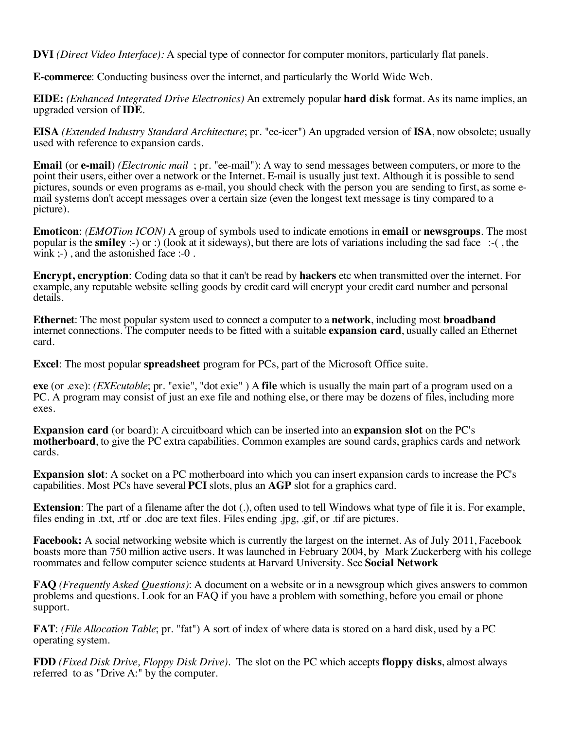**DVI** *(Direct Video Interface):* A special type of connector for computer monitors, particularly flat panels.

**E-commerce**: Conducting business over the internet, and particularly the World Wide Web.

**EIDE:** *(Enhanced Integrated Drive Electronics)* An extremely popular **hard disk** format. As its name implies, an upgraded version of **IDE**.

**EISA** *(Extended Industry Standard Architecture*; pr. "ee-icer") An upgraded version of **ISA**, now obsolete; usually used with reference to expansion cards.

**Email** (or **e-mail**) *(Electronic mail* ; pr. "ee-mail"): A way to send messages between computers, or more to the point their users, either over a network or the Internet. E-mail is usually just text. Although it is possible to send pictures, sounds or even programs as e-mail, you should check with the person you are sending to first, as some email systems don't accept messages over a certain size (even the longest text message is tiny compared to a picture).

**Emoticon**: *(EMOTion ICON)* A group of symbols used to indicate emotions in **email** or **newsgroups**. The most popular is the **smiley** :-) or :) (look at it sideways), but there are lots of variations including the sad face :-( , the wink ;-), and the astonished face :-0.

**Encrypt, encryption**: Coding data so that it can't be read by **hackers** etc when transmitted over the internet. For example, any reputable website selling goods by credit card will encrypt your credit card number and personal details.

**Ethernet**: The most popular system used to connect a computer to a **network**, including most **broadband** internet connections. The computer needs to be fitted with a suitable **expansion card**, usually called an Ethernet card.

**Excel**: The most popular **spreadsheet** program for PCs, part of the Microsoft Office suite.

**exe** (or .exe): *(EXEcutable*; pr. "exie", "dot exie" ) A **file** which is usually the main part of a program used on a PC. A program may consist of just an exe file and nothing else, or there may be dozens of files, including more exes.

**Expansion card** (or board): A circuitboard which can be inserted into an **expansion slot** on the PC's **motherboard**, to give the PC extra capabilities. Common examples are sound cards, graphics cards and network cards.

**Expansion slot**: A socket on a PC motherboard into which you can insert expansion cards to increase the PC's capabilities. Most PCs have several **PCI** slots, plus an **AGP** slot for a graphics card.

**Extension**: The part of a filename after the dot (.), often used to tell Windows what type of file it is. For example, files ending in .txt, .rtf or .doc are text files. Files ending .jpg, .gif, or .tif are pictures.

**Facebook:** A social networking website which is currently the largest on the internet. As of July 2011, Facebook boasts more than 750 million active users. It was launched in February 2004, by Mark Zuckerberg with his college roommates and fellow computer science students at Harvard University. See **Social Network**

**FAQ** *(Frequently Asked Questions)*: A document on a website or in a newsgroup which gives answers to common problems and questions. Look for an FAQ if you have a problem with something, before you email or phone support.

**FAT**: *(File Allocation Table*; pr. "fat") A sort of index of where data is stored on a hard disk, used by a PC operating system.

**FDD** *(Fixed Disk Drive, Floppy Disk Drive)*. The slot on the PC which accepts **floppy disks**, almost always referred to as "Drive A:" by the computer.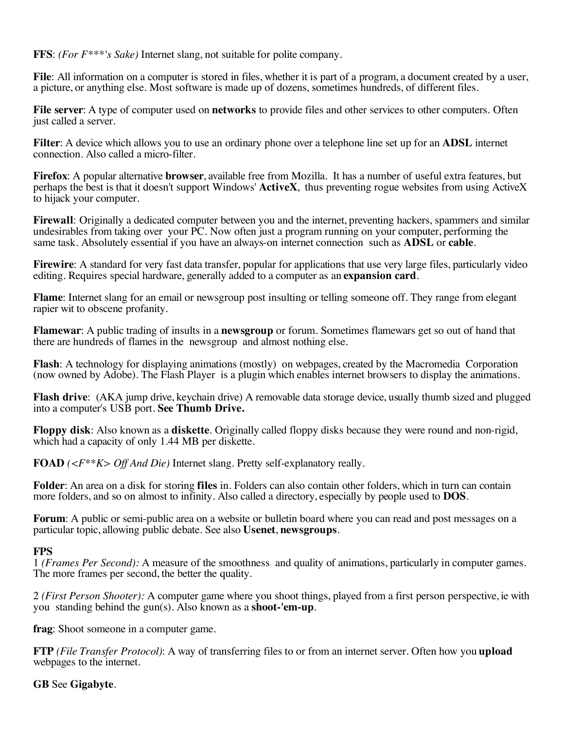**FFS**: *(For F\*\*\*'s Sake)* Internet slang, not suitable for polite company.

**File**: All information on a computer is stored in files, whether it is part of a program, a document created by a user, a picture, or anything else. Most software is made up of dozens, sometimes hundreds, of different files.

**File server**: A type of computer used on **networks** to provide files and other services to other computers. Often just called a server.

**Filter**: A device which allows you to use an ordinary phone over a telephone line set up for an **ADSL** internet connection. Also called a micro-filter.

**Firefox**: A popular alternative **browser**, available free from Mozilla. It has a number of useful extra features, but perhaps the best is that it doesn't support Windows' **ActiveX**, thus preventing rogue websites from using ActiveX to hijack your computer.

**Firewall**: Originally a dedicated computer between you and the internet, preventing hackers, spammers and similar undesirables from taking over your PC. Now often just a program running on your computer, performing the same task. Absolutely essential if you have an always-on internet connection such as **ADSL** or **cable**.

**Firewire**: A standard for very fast data transfer, popular for applications that use very large files, particularly video editing. Requires special hardware, generally added to a computer as an **expansion card**.

**Flame**: Internet slang for an email or newsgroup post insulting or telling someone off. They range from elegant rapier wit to obscene profanity.

**Flamewar**: A public trading of insults in a **newsgroup** or forum. Sometimes flamewars get so out of hand that there are hundreds of flames in the newsgroup and almost nothing else.

**Flash**: A technology for displaying animations (mostly) on webpages, created by the Macromedia Corporation (now owned by Adobe). The Flash Player is a plugin which enables internet browsers to display the animations.

**Flash drive**: (AKA jump drive, keychain drive) A removable data storage device, usually thumb sized and plugged into a computer's USB port. **See Thumb Drive.**

**Floppy disk**: Also known as a **diskette**. Originally called floppy disks because they were round and non-rigid, which had a capacity of only 1.44 MB per diskette.

**FOAD** *(<F\*\*K> Off And Die)* Internet slang. Pretty self-explanatory really.

**Folder**: An area on a disk for storing **files** in. Folders can also contain other folders, which in turn can contain more folders, and so on almost to infinity. Also called a directory, especially by people used to **DOS**.

**Forum**: A public or semi-public area on a website or bulletin board where you can read and post messages on a particular topic, allowing public debate. See also **Usenet**, **newsgroups**.

#### **FPS**

1 *(Frames Per Second):* A measure of the smoothness and quality of animations, particularly in computer games. The more frames per second, the better the quality.

2 *(First Person Shooter):* A computer game where you shoot things, played from a first person perspective, ie with you standing behind the gun(s). Also known as a **shoot-'em-up**.

**frag**: Shoot someone in a computer game.

**FTP** *(File Transfer Protocol)*: A way of transferring files to or from an internet server. Often how you **upload** webpages to the internet.

## **GB** See **Gigabyte**.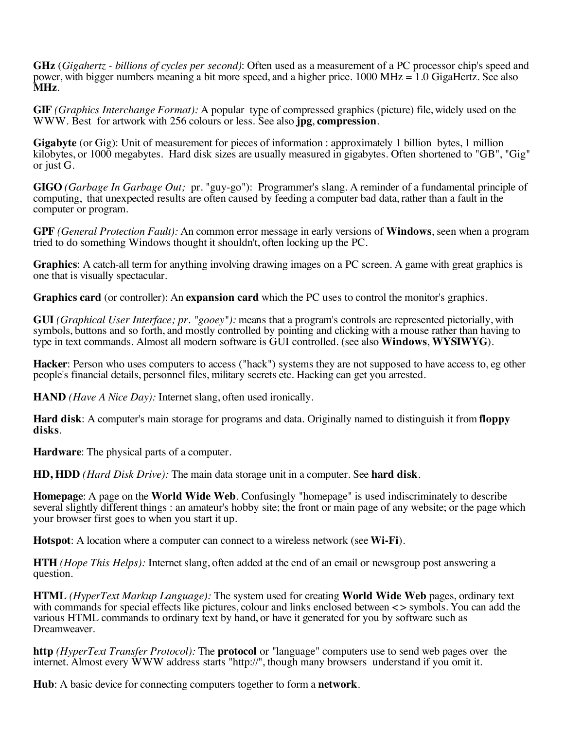**GHz** (*Gigahertz - billions of cycles per second)*: Often used as a measurement of a PC processor chip's speed and power, with bigger numbers meaning a bit more speed, and a higher price. 1000 MHz = 1.0 GigaHertz. See also **MHz**.

**GIF** *(Graphics Interchange Format):* A popular type of compressed graphics (picture) file, widely used on the WWW. Best for artwork with 256 colours or less. See also **jpg**, **compression**.

**Gigabyte** (or Gig): Unit of measurement for pieces of information : approximately 1 billion bytes, 1 million kilobytes, or 1000 megabytes. Hard disk sizes are usually measured in gigabytes. Often shortened to "GB", "Gig" or just G.

**GIGO** *(Garbage In Garbage Out;* pr. "guy-go"): Programmer's slang. A reminder of a fundamental principle of computing, that unexpected results are often caused by feeding a computer bad data, rather than a fault in the computer or program.

**GPF** *(General Protection Fault):* An common error message in early versions of **Windows**, seen when a program tried to do something Windows thought it shouldn't, often locking up the PC.

**Graphics**: A catch-all term for anything involving drawing images on a PC screen. A game with great graphics is one that is visually spectacular.

**Graphics card** (or controller): An **expansion card** which the PC uses to control the monitor's graphics.

**GUI** *(Graphical User Interface; pr. "gooey"):* means that a program's controls are represented pictorially, with symbols, buttons and so forth, and mostly controlled by pointing and clicking with a mouse rather than having to type in text commands. Almost all modern software is GUI controlled. (see also **Windows**, **WYSIWYG**).

**Hacker**: Person who uses computers to access ("hack") systems they are not supposed to have access to, eg other people's financial details, personnel files, military secrets etc. Hacking can get you arrested.

**HAND** *(Have A Nice Day):* Internet slang, often used ironically.

**Hard disk**: A computer's main storage for programs and data. Originally named to distinguish it from **floppy disks**.

**Hardware**: The physical parts of a computer.

**HD, HDD** *(Hard Disk Drive):* The main data storage unit in a computer. See **hard disk**.

**Homepage**: A page on the **World Wide Web**. Confusingly "homepage" is used indiscriminately to describe several slightly different things : an amateur's hobby site; the front or main page of any website; or the page which your browser first goes to when you start it up.

**Hotspot**: A location where a computer can connect to a wireless network (see **Wi-Fi**).

**HTH** *(Hope This Helps):* Internet slang, often added at the end of an email or newsgroup post answering a question.

**HTML** *(HyperText Markup Language):* The system used for creating **World Wide Web** pages, ordinary text with commands for special effects like pictures, colour and links enclosed between  $\lt$  > symbols. You can add the various HTML commands to ordinary text by hand, or have it generated for you by software such as Dreamweaver.

**http** *(HyperText Transfer Protocol):* The **protocol** or "language" computers use to send web pages over the internet. Almost every WWW address starts "http://", though many browsers understand if you omit it.

**Hub**: A basic device for connecting computers together to form a **network**.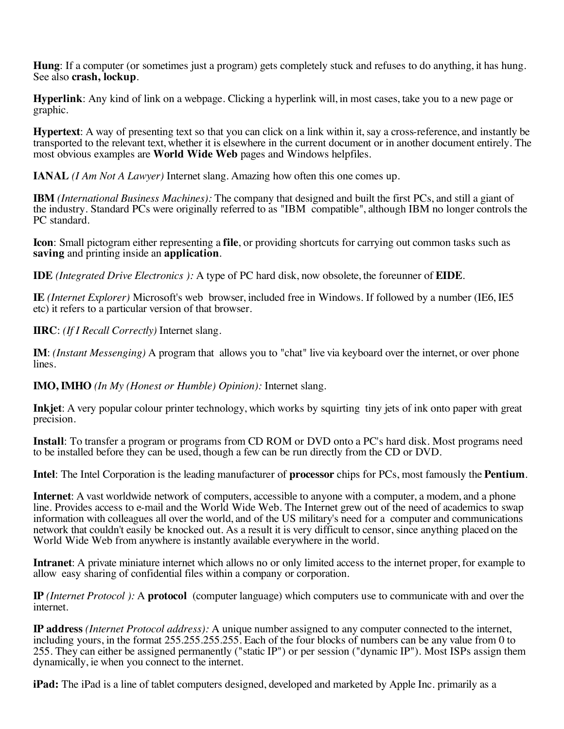**Hung**: If a computer (or sometimes just a program) gets completely stuck and refuses to do anything, it has hung. See also **crash, lockup**.

**Hyperlink**: Any kind of link on a webpage. Clicking a hyperlink will, in most cases, take you to a new page or graphic.

**Hypertext**: A way of presenting text so that you can click on a link within it, say a cross-reference, and instantly be transported to the relevant text, whether it is elsewhere in the current document or in another document entirely. The most obvious examples are **World Wide Web** pages and Windows helpfiles.

**IANAL** *(I Am Not A Lawyer)* Internet slang. Amazing how often this one comes up.

**IBM** *(International Business Machines):* The company that designed and built the first PCs, and still a giant of the industry. Standard PCs were originally referred to as "IBM compatible", although IBM no longer controls the PC standard.

**Icon**: Small pictogram either representing a **file**, or providing shortcuts for carrying out common tasks such as **saving** and printing inside an **application**.

**IDE** *(Integrated Drive Electronics ):* A type of PC hard disk, now obsolete, the foreunner of **EIDE**.

**IE** *(Internet Explorer)* Microsoft's web browser, included free in Windows. If followed by a number (IE6, IE5 etc) it refers to a particular version of that browser.

**IIRC**: *(If I Recall Correctly)* Internet slang.

**IM**: *(Instant Messenging)* A program that allows you to "chat" live via keyboard over the internet, or over phone lines.

**IMO, IMHO** *(In My (Honest or Humble) Opinion):* Internet slang.

**Inkjet**: A very popular colour printer technology, which works by squirting tiny jets of ink onto paper with great precision.

**Install**: To transfer a program or programs from CD ROM or DVD onto a PC's hard disk. Most programs need to be installed before they can be used, though a few can be run directly from the CD or DVD.

**Intel**: The Intel Corporation is the leading manufacturer of **processor** chips for PCs, most famously the **Pentium**.

**Internet**: A vast worldwide network of computers, accessible to anyone with a computer, a modem, and a phone line. Provides access to e-mail and the World Wide Web. The Internet grew out of the need of academics to swap information with colleagues all over the world, and of the US military's need for a computer and communications network that couldn't easily be knocked out. As a result it is very difficult to censor, since anything placed on the World Wide Web from anywhere is instantly available everywhere in the world.

**Intranet**: A private miniature internet which allows no or only limited access to the internet proper, for example to allow easy sharing of confidential files within a company or corporation.

**IP** *(Internet Protocol ):* A **protocol** (computer language) which computers use to communicate with and over the internet.

**IP address** *(Internet Protocol address):* A unique number assigned to any computer connected to the internet, including yours, in the format 255.255.255.255. Each of the four blocks of numbers can be any value from 0 to 255. They can either be assigned permanently ("static IP") or per session ("dynamic IP"). Most ISPs assign them dynamically, ie when you connect to the internet.

**iPad:** The iPad is a line of tablet computers designed, developed and marketed by Apple Inc. primarily as a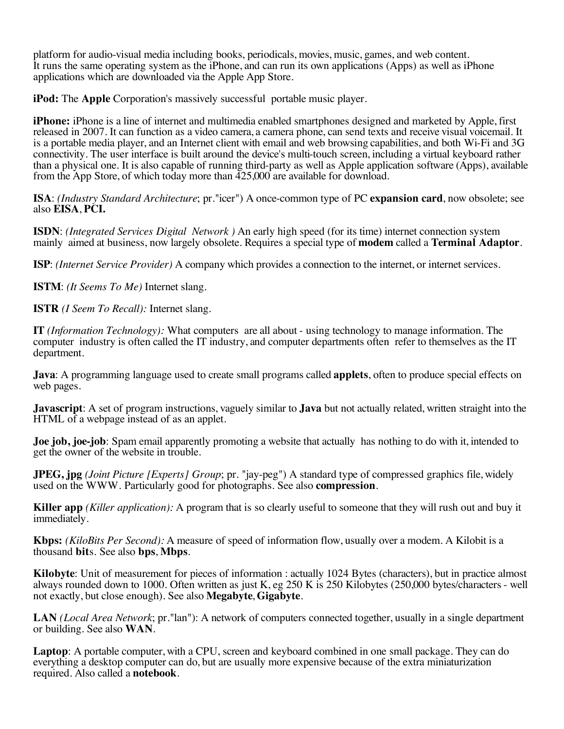platform for audio-visual media including books, periodicals, movies, music, games, and web content. It runs the same operating system as the iPhone, and can run its own applications (Apps) as well as iPhone applications which are downloaded via the Apple App Store.

**iPod:** The **Apple** Corporation's massively successful portable music player.

**iPhone:** *iPhone* is a line of internet and multimedia enabled smartphones designed and marketed by Apple, first released in 2007. It can function as a video camera, a camera phone, can send texts and receive visual voicemail. It is a portable media player, and an Internet client with email and web browsing capabilities, and both Wi-Fi and 3G connectivity. The user interface is built around the device's multi-touch screen, including a virtual keyboard rather than a physical one. It is also capable of running third-party as well as Apple application software (Apps), available from the App Store, of which today more than 425,000 are available for download.

**ISA**: *(Industry Standard Architecture*; pr."icer") A once-common type of PC **expansion card**, now obsolete; see also **EISA**, **PCI.**

**ISDN**: *(Integrated Services Digital Network )* An early high speed (for its time) internet connection system mainly aimed at business, now largely obsolete. Requires a special type of **modem** called a **Terminal Adaptor**.

**ISP**: *(Internet Service Provider)* A company which provides a connection to the internet, or internet services.

**ISTM**: *(It Seems To Me)* Internet slang.

**ISTR** *(I Seem To Recall):* Internet slang.

**IT** *(Information Technology):* What computers are all about - using technology to manage information. The computer industry is often called the IT industry, and computer departments often refer to themselves as the IT department.

**Java**: A programming language used to create small programs called **applets**, often to produce special effects on web pages.

**Javascript**: A set of program instructions, vaguely similar to **Java** but not actually related, written straight into the HTML of a webpage instead of as an applet.

**Joe job, joe-job**: Spam email apparently promoting a website that actually has nothing to do with it, intended to get the owner of the website in trouble.

**JPEG, jpg** *(Joint Picture [Experts] Group*; pr. "jay-peg") A standard type of compressed graphics file, widely used on the WWW. Particularly good for photographs. See also **compression**.

**Killer app** *(Killer application):* A program that is so clearly useful to someone that they will rush out and buy it immediately.

**Kbps:** *(KiloBits Per Second):* A measure of speed of information flow, usually over a modem. A Kilobit is a thousand **bit**s. See also **bps**, **Mbps**.

**Kilobyte**: Unit of measurement for pieces of information : actually 1024 Bytes (characters), but in practice almost always rounded down to 1000. Often written as just K, eg 250 K is 250 Kilobytes (250,000 bytes/characters - well not exactly, but close enough). See also **Megabyte**, **Gigabyte**.

**LAN** *(Local Area Network*; pr."lan"): A network of computers connected together, usually in a single department or building. See also **WAN**.

**Laptop**: A portable computer, with a CPU, screen and keyboard combined in one small package. They can do everything a desktop computer can do, but are usually more expensive because of the extra miniaturization required. Also called a **notebook**.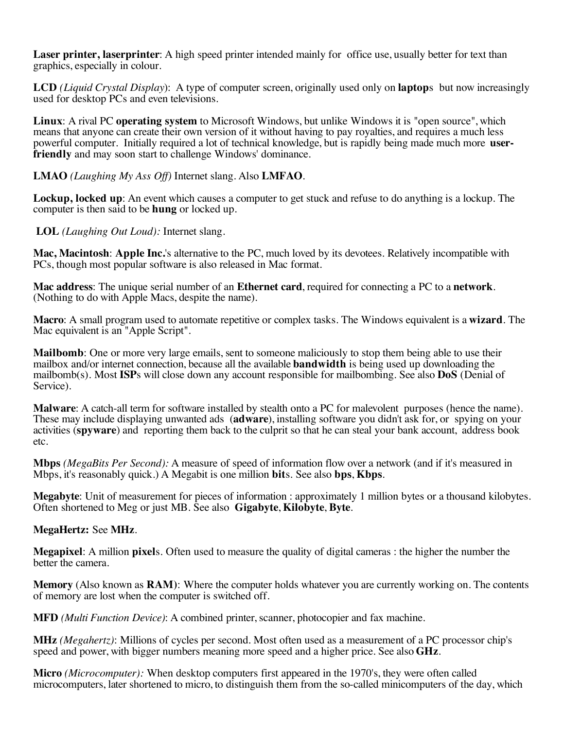**Laser printer, laserprinter**: A high speed printer intended mainly for office use, usually better for text than graphics, especially in colour.

**LCD** *(Liquid Crystal Display*): A type of computer screen, originally used only on **laptop**s but now increasingly used for desktop PCs and even televisions.

**Linux**: A rival PC **operating system** to Microsoft Windows, but unlike Windows it is "open source", which means that anyone can create their own version of it without having to pay royalties, and requires a much less powerful computer. Initially required a lot of technical knowledge, but is rapidly being made much more **userfriendly** and may soon start to challenge Windows' dominance.

#### **LMAO** *(Laughing My Ass Off)* Internet slang. Also **LMFAO**.

**Lockup, locked up**: An event which causes a computer to get stuck and refuse to do anything is a lockup. The computer is then said to be **hung** or locked up.

**LOL** *(Laughing Out Loud):* Internet slang.

**Mac, Macintosh**: **Apple Inc.**'s alternative to the PC, much loved by its devotees. Relatively incompatible with PCs, though most popular software is also released in Mac format.

**Mac address**: The unique serial number of an **Ethernet card**, required for connecting a PC to a **network**. (Nothing to do with Apple Macs, despite the name).

**Macro**: A small program used to automate repetitive or complex tasks. The Windows equivalent is a **wizard**. The Mac equivalent is an "Apple Script".

**Mailbomb**: One or more very large emails, sent to someone maliciously to stop them being able to use their mailbox and/or internet connection, because all the available **bandwidth** is being used up downloading the mailbomb(s). Most **ISP**s will close down any account responsible for mailbombing. See also **DoS** (Denial of Service).

**Malware:** A catch-all term for software installed by stealth onto a PC for malevolent purposes (hence the name). These may include displaying unwanted ads (**adware**), installing software you didn't ask for, or spying on your activities (**spyware**) and reporting them back to the culprit so that he can steal your bank account, address book etc.

**Mbps** *(MegaBits Per Second):* A measure of speed of information flow over a network (and if it's measured in Mbps, it's reasonably quick.) A Megabit is one million **bit**s. See also **bps**, **Kbps**.

**Megabyte**: Unit of measurement for pieces of information : approximately 1 million bytes or a thousand kilobytes. Often shortened to Meg or just MB. See also **Gigabyte**, **Kilobyte**, **Byte**.

#### **MegaHertz:** See **MHz**.

**Megapixel**: A million **pixel**s. Often used to measure the quality of digital cameras : the higher the number the better the camera.

**Memory** (Also known as **RAM)**: Where the computer holds whatever you are currently working on. The contents of memory are lost when the computer is switched off.

**MFD** *(Multi Function Device)*: A combined printer, scanner, photocopier and fax machine.

**MHz** *(Megahertz)*: Millions of cycles per second. Most often used as a measurement of a PC processor chip's speed and power, with bigger numbers meaning more speed and a higher price. See also **GHz**.

**Micro** *(Microcomputer):* When desktop computers first appeared in the 1970's, they were often called microcomputers, later shortened to micro, to distinguish them from the so-called minicomputers of the day, which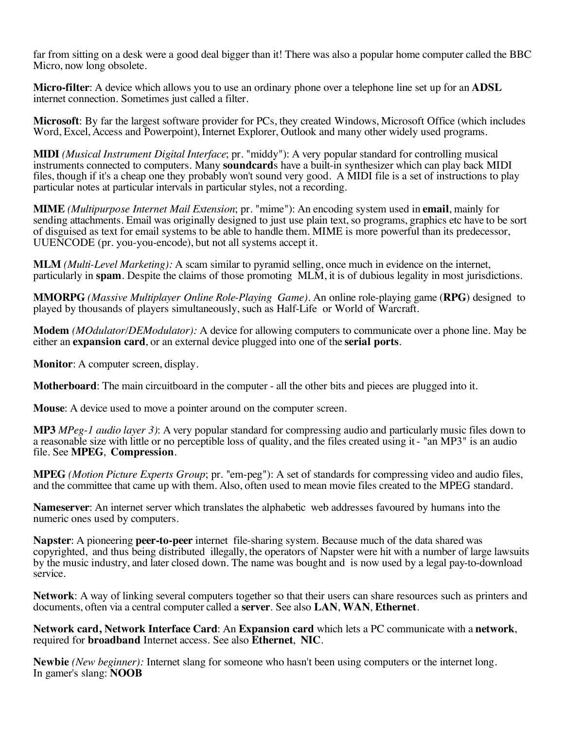far from sitting on a desk were a good deal bigger than it! There was also a popular home computer called the BBC Micro, now long obsolete.

**Micro-filter**: A device which allows you to use an ordinary phone over a telephone line set up for an **ADSL** internet connection. Sometimes just called a filter.

**Microsoft**: By far the largest software provider for PCs, they created Windows, Microsoft Office (which includes Word, Excel, Access and Powerpoint), Internet Explorer, Outlook and many other widely used programs.

**MIDI** *(Musical Instrument Digital Interface*; pr. "middy"): A very popular standard for controlling musical instruments connected to computers. Many **soundcard**s have a built-in synthesizer which can play back MIDI files, though if it's a cheap one they probably won't sound very good. A MIDI file is a set of instructions to play particular notes at particular intervals in particular styles, not a recording.

**MIME** *(Multipurpose Internet Mail Extension*; pr. "mime"): An encoding system used in **email**, mainly for sending attachments. Email was originally designed to just use plain text, so programs, graphics etc have to be sort of disguised as text for email systems to be able to handle them. MIME is more powerful than its predecessor, UUENCODE (pr. you-you-encode), but not all systems accept it.

**MLM** *(Multi-Level Marketing):* A scam similar to pyramid selling, once much in evidence on the internet, particularly in **spam**. Despite the claims of those promoting MLM, it is of dubious legality in most jurisdictions.

**MMORPG** *(Massive Multiplayer Online Role-Playing Game)*. An online role-playing game (**RPG**) designed to played by thousands of players simultaneously, such as Half-Life or World of Warcraft.

**Modem** *(MOdulator/DEModulator):* A device for allowing computers to communicate over a phone line. May be either an **expansion card**, or an external device plugged into one of the **serial ports**.

**Monitor**: A computer screen, display.

**Motherboard**: The main circuitboard in the computer - all the other bits and pieces are plugged into it.

**Mouse**: A device used to move a pointer around on the computer screen.

**MP3** *MPeg-1 audio layer 3)*: A very popular standard for compressing audio and particularly music files down to a reasonable size with little or no perceptible loss of quality, and the files created using it - "an MP3" is an audio file. See **MPEG**, **Compression**.

**MPEG** *(Motion Picture Experts Group*; pr. "em-peg"): A set of standards for compressing video and audio files, and the committee that came up with them. Also, often used to mean movie files created to the MPEG standard.

**Nameserver**: An internet server which translates the alphabetic web addresses favoured by humans into the numeric ones used by computers.

**Napster**: A pioneering **peer-to-peer** internet file-sharing system. Because much of the data shared was copyrighted, and thus being distributed illegally, the operators of Napster were hit with a number of large lawsuits by the music industry, and later closed down. The name was bought and is now used by a legal pay-to-download service.

**Network**: A way of linking several computers together so that their users can share resources such as printers and documents, often via a central computer called a **server**. See also **LAN**, **WAN**, **Ethernet**.

**Network card, Network Interface Card**: An **Expansion card** which lets a PC communicate with a **network**, required for **broadband** Internet access. See also **Ethernet**, **NIC**.

**Newbie** *(New beginner):* Internet slang for someone who hasn't been using computers or the internet long. In gamer's slang: **NOOB**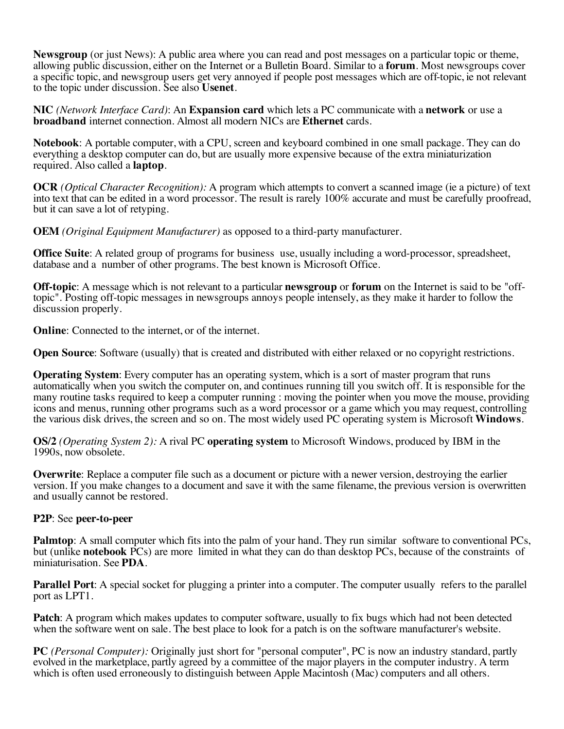**Newsgroup** (or just News): A public area where you can read and post messages on a particular topic or theme, allowing public discussion, either on the Internet or a Bulletin Board. Similar to a **forum**. Most newsgroups cover a specific topic, and newsgroup users get very annoyed if people post messages which are off-topic, ie not relevant to the topic under discussion. See also **Usenet**.

**NIC** *(Network Interface Card)*: An **Expansion card** which lets a PC communicate with a **network** or use a **broadband** internet connection. Almost all modern NICs are **Ethernet** cards.

**Notebook**: A portable computer, with a CPU, screen and keyboard combined in one small package. They can do everything a desktop computer can do, but are usually more expensive because of the extra miniaturization required. Also called a **laptop**.

**OCR** *(Optical Character Recognition):* A program which attempts to convert a scanned image (ie a picture) of text into text that can be edited in a word processor. The result is rarely 100% accurate and must be carefully proofread, but it can save a lot of retyping.

**OEM** *(Original Equipment Manufacturer)* as opposed to a third-party manufacturer.

**Office Suite**: A related group of programs for business use, usually including a word-processor, spreadsheet, database and a number of other programs. The best known is Microsoft Office.

**Off-topic:** A message which is not relevant to a particular **newsgroup** or forum on the Internet is said to be "off-topic". Posting off-topic messages in newsgroups annoys people intensely, as they make it harder to follo discussion properly.

**Online:** Connected to the internet, or of the internet.

**Open Source:** Software (usually) that is created and distributed with either relaxed or no copyright restrictions.

**Operating System**: Every computer has an operating system, which is a sort of master program that runs automatically when you switch the computer on, and continues running till you switch off. It is responsible for the many routine tasks required to keep a computer running : moving the pointer when you move the mouse, providing icons and menus, running other programs such as a word processor or a game which you may request, controlling the various disk drives, the screen and so on. The most widely used PC operating system is Microsoft **Windows**.

**OS/2** *(Operating System 2):* A rival PC **operating system** to Microsoft Windows, produced by IBM in the 1990s, now obsolete.

**Overwrite**: Replace a computer file such as a document or picture with a newer version, destroying the earlier version. If you make changes to a document and save it with the same filename, the previous version is overwritten and usually cannot be restored.

## **P2P**: See **peer-to-peer**

**Palmtop**: A small computer which fits into the palm of your hand. They run similar software to conventional PCs, but (unlike **notebook** PCs) are more limited in what they can do than desktop PCs, because of the constraints of miniaturisation. See **PDA**.

**Parallel Port:** A special socket for plugging a printer into a computer. The computer usually refers to the parallel port as LPT1.

**Patch**: A program which makes updates to computer software, usually to fix bugs which had not been detected when the software went on sale. The best place to look for a patch is on the software manufacturer's website.

**PC** *(Personal Computer):* Originally just short for "personal computer", PC is now an industry standard, partly evolved in the marketplace, partly agreed by a committee of the major players in the computer industry. A term which is often used erroneously to distinguish between Apple Macintosh (Mac) computers and all others.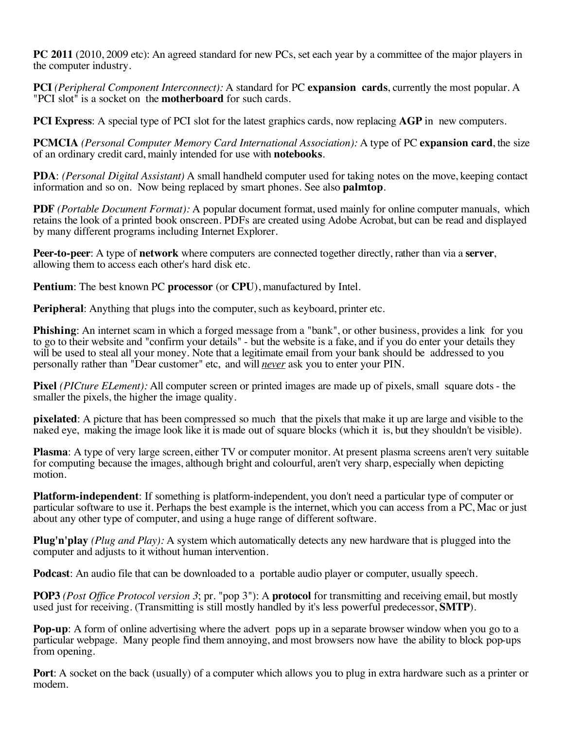**PC 2011** (2010, 2009 etc): An agreed standard for new PCs, set each year by a committee of the major players in the computer industry.

**PCI** *(Peripheral Component Interconnect):* A standard for PC **expansion cards**, currently the most popular. A "PCI slot" is a socket on the **motherboard** for such cards.

**PCI Express**: A special type of PCI slot for the latest graphics cards, now replacing **AGP** in new computers.

**PCMCIA** *(Personal Computer Memory Card International Association):* A type of PC **expansion card**, the size of an ordinary credit card, mainly intended for use with **notebooks**.

**PDA**: *(Personal Digital Assistant)* A small handheld computer used for taking notes on the move, keeping contact information and so on. Now being replaced by smart phones. See also **palmtop**.

**PDF** *(Portable Document Format):* A popular document format, used mainly for online computer manuals, which retains the look of a printed book onscreen. PDFs are created using Adobe Acrobat, but can be read and displayed by many different programs including Internet Explorer.

**Peer-to-peer**: A type of **network** where computers are connected together directly, rather than via a **server**, allowing them to access each other's hard disk etc.

**Pentium**: The best known PC **processor** (or **CPU**), manufactured by Intel.

**Peripheral**: Anything that plugs into the computer, such as keyboard, printer etc.

**Phishing**: An internet scam in which a forged message from a "bank", or other business, provides a link for you to go to their website and "confirm your details" - but the website is a fake, and if you do enter your details they will be used to steal all your money. Note that a legitimate email from your bank should be addressed to you personally rather than "Dear customer" etc, and will *never* ask you to enter your PIN.

**Pixel** *(PICture ELement):* All computer screen or printed images are made up of pixels, small square dots - the smaller the pixels, the higher the image quality.

**pixelated**: A picture that has been compressed so much that the pixels that make it up are large and visible to the naked eye, making the image look like it is made out of square blocks (which it is, but they shouldn't be visible).

**Plasma**: A type of very large screen, either TV or computer monitor. At present plasma screens aren't very suitable for computing because the images, although bright and colourful, aren't very sharp, especially when depicting motion.

**Platform-independent**: If something is platform-independent, you don't need a particular type of computer or particular software to use it. Perhaps the best example is the internet, which you can access from a PC, Mac or just about any other type of computer, and using a huge range of different software.

**Plug'n'play** *(Plug and Play):* A system which automatically detects any new hardware that is plugged into the computer and adjusts to it without human intervention.

**Podcast:** An audio file that can be downloaded to a portable audio player or computer, usually speech.

**POP3** *(Post Office Protocol version 3*; pr. "pop 3"): A **protocol** for transmitting and receiving email, but mostly used just for receiving. (Transmitting is still mostly handled by it's less powerful predecessor, **SMTP**).

**Pop-up**: A form of online advertising where the advert pops up in a separate browser window when you go to a particular webpage. Many people find them annoying, and most browsers now have the ability to block pop-ups from opening.

**Port**: A socket on the back (usually) of a computer which allows you to plug in extra hardware such as a printer or modem.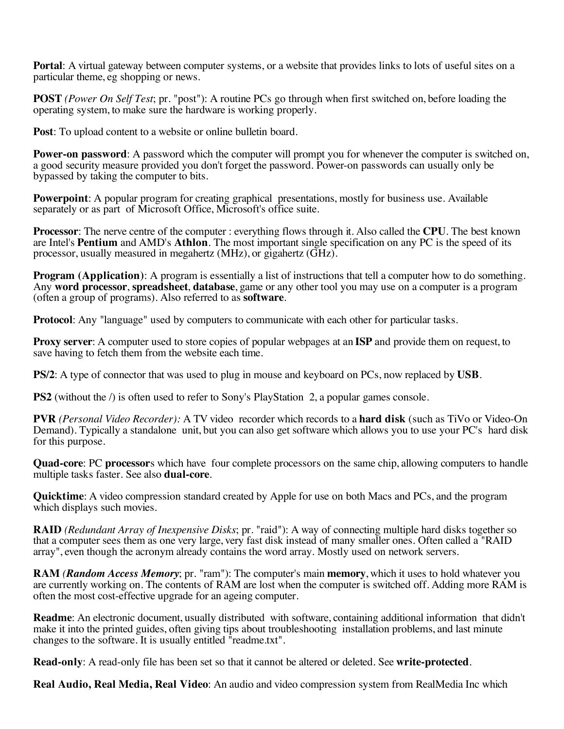**Portal**: A virtual gateway between computer systems, or a website that provides links to lots of useful sites on a particular theme, eg shopping or news.

**POST** *(Power On Self Test*; pr. "post"): A routine PCs go through when first switched on, before loading the operating system, to make sure the hardware is working properly.

**Post**: To upload content to a website or online bulletin board.

**Power-on password**: A password which the computer will prompt you for whenever the computer is switched on, a good security measure provided you don't forget the password. Power-on passwords can usually only be bypassed by taking the computer to bits.

**Powerpoint**: A popular program for creating graphical presentations, mostly for business use. Available separately or as part of Microsoft Office, Microsoft's office suite.

**Processor**: The nerve centre of the computer : everything flows through it. Also called the **CPU**. The best known are Intel's **Pentium** and AMD's **Athlon**. The most important single specification on any PC is the speed of its processor, usually measured in megahertz (MHz), or gigahertz (GHz).

**Program (Application):** A program is essentially a list of instructions that tell a computer how to do something. Any **word processor**, **spreadsheet**, **database**, game or any other tool you may use on a computer is a program (often a group of programs). Also referred to as **software**.

**Protocol**: Any "language" used by computers to communicate with each other for particular tasks.

**Proxy server**: A computer used to store copies of popular webpages at an **ISP** and provide them on request, to save having to fetch them from the website each time.

**PS/2**: A type of connector that was used to plug in mouse and keyboard on PCs, now replaced by **USB**.

**PS2** (without the *l*) is often used to refer to Sony's PlayStation 2, a popular games console.

**PVR** *(Personal Video Recorder):* A TV video recorder which records to a **hard disk** (such as TiVo or Video-On Demand). Typically a standalone unit, but you can also get software which allows you to use your PC's hard disk for this purpose.

**Quad-core**: PC **processor**s which have four complete processors on the same chip, allowing computers to handle multiple tasks faster. See also **dual-core**.

**Quicktime**: A video compression standard created by Apple for use on both Macs and PCs, and the program which displays such movies.

**RAID** *(Redundant Array of Inexpensive Disks*; pr. "raid"): A way of connecting multiple hard disks together so that a computer sees them as one very large, very fast disk instead of many smaller ones. Often called a "RAID array", even though the acronym already contains the word array. Mostly used on network servers.

**RAM** *(Random Access Memory*; pr. "ram"): The computer's main **memory**, which it uses to hold whatever you are currently working on. The contents of RAM are lost when the computer is switched off. Adding more RAM is often the most cost-effective upgrade for an ageing computer.

**Readme**: An electronic document, usually distributed with software, containing additional information that didn't make it into the printed guides, often giving tips about troubleshooting installation problems, and last minute changes to the software. It is usually entitled "readme.txt".

**Read-only**: A read-only file has been set so that it cannot be altered or deleted. See **write-protected**.

**Real Audio, Real Media, Real Video**: An audio and video compression system from RealMedia Inc which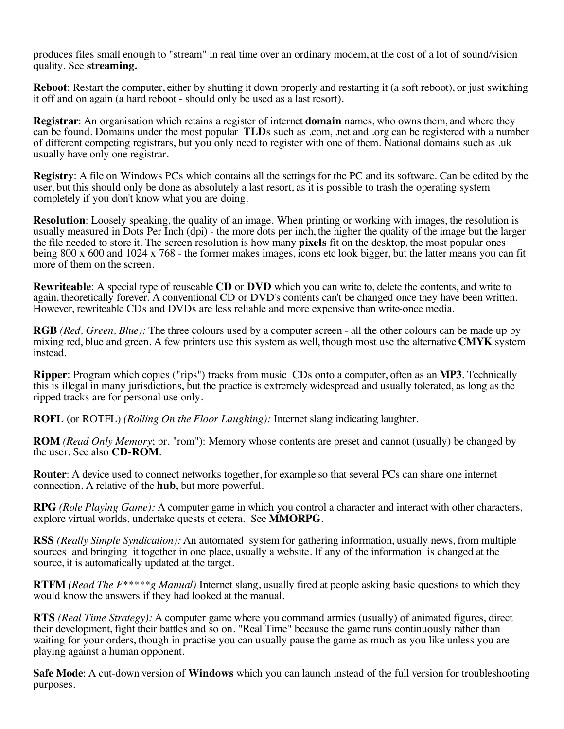produces files small enough to "stream" in real time over an ordinary modem, at the cost of a lot of sound/vision quality. See **streaming.** 

**Reboot**: Restart the computer, either by shutting it down properly and restarting it (a soft reboot), or just switching it off and on again (a hard reboot - should only be used as a last resort).

**Registrar**: An organisation which retains a register of internet **domain** names, who owns them, and where they can be found. Domains under the most popular **TLD**s such as .com, .net and .org can be registered with a number of different competing registrars, but you only need to register with one of them. National domains such as .uk usually have only one registrar.

**Registry**: A file on Windows PCs which contains all the settings for the PC and its software. Can be edited by the user, but this should only be done as absolutely a last resort, as it is possible to trash the operating system completely if you don't know what you are doing.

**Resolution**: Loosely speaking, the quality of an image. When printing or working with images, the resolution is usually measured in Dots Per Inch (dpi) - the more dots per inch, the higher the quality of the image but the larger the file needed to store it. The screen resolution is how many **pixels** fit on the desktop, the most popular ones being 800 x 600 and 1024 x 768 - the former makes images, icons etc look bigger, but the latter means you can fit more of them on the screen.

**Rewriteable**: A special type of reuseable **CD** or **DVD** which you can write to, delete the contents, and write to again, theoretically forever. A conventional CD or DVD's contents can't be changed once they have been written. However, rewriteable CDs and DVDs are less reliable and more expensive than write-once media.

**RGB** *(Red, Green, Blue):* The three colours used by a computer screen - all the other colours can be made up by mixing red, blue and green. A few printers use this system as well, though most use the alternative **CMYK** system instead.

**Ripper**: Program which copies ("rips") tracks from music CDs onto a computer, often as an **MP3**. Technically this is illegal in many jurisdictions, but the practice is extremely widespread and usually tolerated, as long as the ripped tracks are for personal use only.

**ROFL** (or ROTFL) *(Rolling On the Floor Laughing):* Internet slang indicating laughter.

**ROM** *(Read Only Memory*; pr. "rom"): Memory whose contents are preset and cannot (usually) be changed by the user. See also **CD-ROM**.

**Router**: A device used to connect networks together, for example so that several PCs can share one internet connection. A relative of the **hub**, but more powerful.

**RPG** *(Role Playing Game):* A computer game in which you control a character and interact with other characters, explore virtual worlds, undertake quests et cetera. See **MMORPG**.

**RSS** *(Really Simple Syndication):* An automated system for gathering information, usually news, from multiple sources and bringing it together in one place, usually a website. If any of the information is changed at the source, it is automatically updated at the target.

**RTFM** *(Read The F\*\*\*\*\*g Manual)* Internet slang, usually fired at people asking basic questions to which they would know the answers if they had looked at the manual.

**RTS** *(Real Time Strategy):* A computer game where you command armies (usually) of animated figures, direct their development, fight their battles and so on. "Real Time" because the game runs continuously rather than waiting for your orders, though in practise you can usually pause the game as much as you like unless you are playing against a human opponent.

**Safe Mode**: A cut-down version of **Windows** which you can launch instead of the full version for troubleshooting purposes.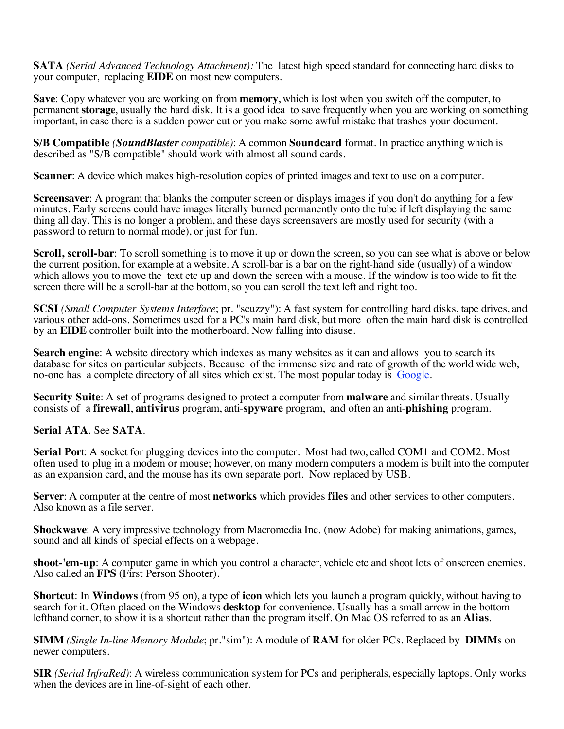**SATA** *(Serial Advanced Technology Attachment):* The latest high speed standard for connecting hard disks to your computer, replacing **EIDE** on most new computers.

**Save**: Copy whatever you are working on from **memory**, which is lost when you switch off the computer, to permanent **storage**, usually the hard disk. It is a good idea to save frequently when you are working on something important, in case there is a sudden power cut or you make some awful mistake that trashes your document.

**S/B Compatible** *(SoundBlaster compatible)*: A common **Soundcard** format. In practice anything which is described as "S/B compatible" should work with almost all sound cards.

**Scanner:** A device which makes high-resolution copies of printed images and text to use on a computer.

**Screensaver**: A program that blanks the computer screen or displays images if you don't do anything for a few minutes. Early screens could have images literally burned permanently onto the tube if left displaying the same thing all day. This is no longer a problem, and these days screensavers are mostly used for security (with a password to return to normal mode), or just for fun.

**Scroll, scroll-bar**: To scroll something is to move it up or down the screen, so you can see what is above or below the current position, for example at a website. A scroll-bar is a bar on the right-hand side (usually) of a window which allows you to move the text etc up and down the screen with a mouse. If the window is too wide to fit the screen there will be a scroll-bar at the bottom, so you can scroll the text left and right too.

**SCSI** *(Small Computer Systems Interface*; pr. "scuzzy"): A fast system for controlling hard disks, tape drives, and various other add-ons. Sometimes used for a PC's main hard disk, but more often the main hard disk is controlled by an **EIDE** controller built into the motherboard. Now falling into disuse.

**Search engine**: A website directory which indexes as many websites as it can and allows you to search its database for sites on particular subjects. Because of the immense size and rate of growth of the world wide web, no-one has a complete directory of all sites which exist. The most popular today is Google.

**Security Suite**: A set of programs designed to protect a computer from **malware** and similar threats. Usually consists of a **firewall**, **antivirus** program, anti-**spyware** program, and often an anti-**phishing** program.

## **Serial ATA**. See **SATA**.

**Serial Port:** A socket for plugging devices into the computer. Most had two, called COM1 and COM2. Most often used to plug in a modem or mouse; however, on many modern computers a modem is built into the computer as an expansion card, and the mouse has its own separate port. Now replaced by USB.

**Server**: A computer at the centre of most **networks** which provides **files** and other services to other computers. Also known as a file server.

**Shockwave**: A very impressive technology from Macromedia Inc. (now Adobe) for making animations, games, sound and all kinds of special effects on a webpage.

**shoot-'em-up**: A computer game in which you control a character, vehicle etc and shoot lots of onscreen enemies. Also called an **FPS** (First Person Shooter).

**Shortcut**: In **Windows** (from 95 on), a type of **icon** which lets you launch a program quickly, without having to search for it. Often placed on the Windows **desktop** for convenience. Usually has a small arrow in the bottom lefthand corner, to show it is a shortcut rather than the program itself. On Mac OS referred to as an **Alias**.

**SIMM** *(Single In-line Memory Module*; pr."sim"): A module of **RAM** for older PCs. Replaced by **DIMM**s on newer computers.

**SIR** *(Serial InfraRed)*: A wireless communication system for PCs and peripherals, especially laptops. Only works when the devices are in line-of-sight of each other.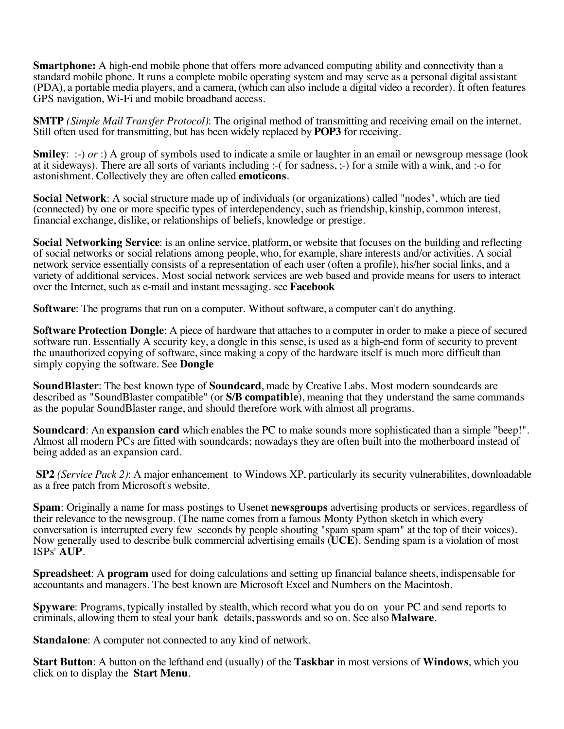**Smartphone:** A high-end mobile phone that offers more advanced computing ability and connectivity than a standard mobile phone. It runs a complete mobile operating system and may serve as a personal digital assistant (PDA), a portable media players, and a camera, (which can also include a digital video a recorder). It often features GPS navigation, Wi-Fi and mobile broadband access.

**SMTP** *(Simple Mail Transfer Protocol)*: The original method of transmitting and receiving email on the internet. Still often used for transmitting, but has been widely replaced by **POP3** for receiving.

**Smiley:** :-) *or* :) A group of symbols used to indicate a smile or laughter in an email or newsgroup message (look at it sideways). There are all sorts of variants including :-( for sadness, ;-) for a smile with a wink, and :-o for astonishment. Collectively they are often called **emoticons**.

**Social Network**: A social structure made up of individuals (or organizations) called "nodes", which are tied (connected) by one or more specific types of interdependency, such as friendship, kinship, common interest, financial exchange, dislike, or relationships of beliefs, knowledge or prestige.

**Social Networking Service**: is an online service, platform, or website that focuses on the building and reflecting of social networks or social relations among people, who, for example, share interests and/or activities. A social network service essentially consists of a representation of each user (often a profile), his/her social links, and a variety of additional services. Most social network services are web based and provide means for users to interact over the Internet, such as e-mail and instant messaging. see **Facebook**

**Software**: The programs that run on a computer. Without software, a computer can't do anything.

**Software Protection Dongle**: A piece of hardware that attaches to a computer in order to make a piece of secured software run. Essentially A security key, a dongle in this sense, is used as a high-end form of security to prevent the unauthorized copying of software, since making a copy of the hardware itself is much more difficult than simply copying the software. See **Dongle**

**SoundBlaster**: The best known type of **Soundcard**, made by Creative Labs. Most modern soundcards are described as "SoundBlaster compatible" (or **S/B compatible**), meaning that they understand the same commands as the popular SoundBlaster range, and should therefore work with almost all programs.

**Soundcard**: An **expansion card** which enables the PC to make sounds more sophisticated than a simple "beep!". Almost all modern PCs are fitted with soundcards; nowadays they are often built into the motherboard instead of being added as an expansion card.

**SP2** *(Service Pack 2)*: A major enhancement to Windows XP, particularly its security vulnerabilites, downloadable as a free patch from Microsoft's website.

**Spam**: Originally a name for mass postings to Usenet **newsgroups** advertising products or services, regardless of their relevance to the newsgroup. (The name comes from a famous Monty Python sketch in which every conversation is interrupted every few seconds by people shouting "spam spam spam" at the top of their voices). Now generally used to describe bulk commercial advertising emails (**UCE**). Sending spam is a violation of most ISPs' **AUP**.

**Spreadsheet**: A **program** used for doing calculations and setting up financial balance sheets, indispensable for accountants and managers. The best known are Microsoft Excel and Numbers on the Macintosh.

**Spyware**: Programs, typically installed by stealth, which record what you do on your PC and send reports to criminals, allowing them to steal your bank details, passwords and so on. See also **Malware**.

**Standalone**: A computer not connected to any kind of network.

**Start Button**: A button on the lefthand end (usually) of the **Taskbar** in most versions of **Windows**, which you click on to display the **Start Menu**.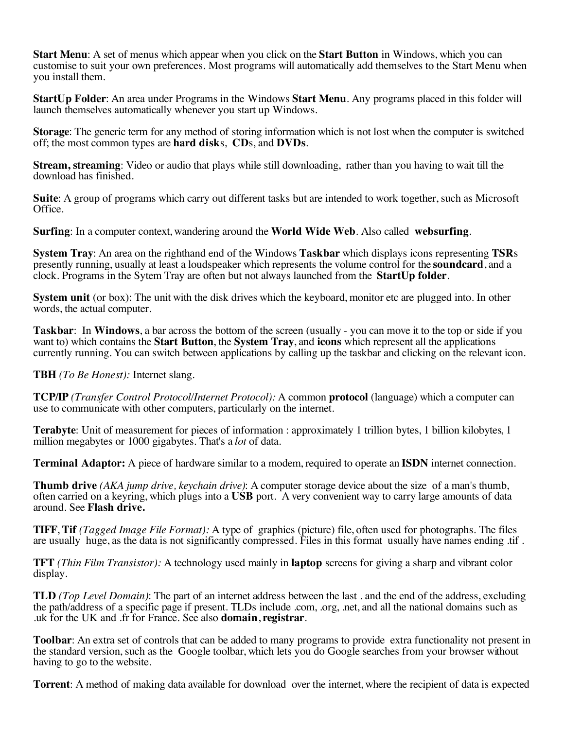**Start Menu**: A set of menus which appear when you click on the **Start Button** in Windows, which you can customise to suit your own preferences. Most programs will automatically add themselves to the Start Menu when you install them.

**StartUp Folder**: An area under Programs in the Windows **Start Menu**. Any programs placed in this folder will launch themselves automatically whenever you start up Windows.

**Storage**: The generic term for any method of storing information which is not lost when the computer is switched off; the most common types are **hard disk**s, **CD**s, and **DVDs**.

**Stream, streaming**: Video or audio that plays while still downloading, rather than you having to wait till the download has finished.

**Suite**: A group of programs which carry out different tasks but are intended to work together, such as Microsoft Office.

**Surfing**: In a computer context, wandering around the **World Wide Web**. Also called **websurfing**.

**System Tray**: An area on the righthand end of the Windows **Taskbar** which displays icons representing **TSR**s presently running, usually at least a loudspeaker which represents the volume control for the **soundcard**, and a clock. Programs in the Sytem Tray are often but not always launched from the **StartUp folder**.

**System unit** (or box): The unit with the disk drives which the keyboard, monitor etc are plugged into. In other words, the actual computer.

**Taskbar**: In **Windows**, a bar across the bottom of the screen (usually - you can move it to the top or side if you want to) which contains the **Start Button**, the **System Tray**, and **icons** which represent all the applications currently running. You can switch between applications by calling up the taskbar and clicking on the relevant icon.

**TBH** *(To Be Honest):* Internet slang.

**TCP/IP** *(Transfer Control Protocol/Internet Protocol):* A common **protocol** (language) which a computer can use to communicate with other computers, particularly on the internet.

**Terabyte**: Unit of measurement for pieces of information : approximately 1 trillion bytes, 1 billion kilobytes, 1 million megabytes or 1000 gigabytes. That's a *lot* of data.

**Terminal Adaptor:** A piece of hardware similar to a modem, required to operate an **ISDN** internet connection.

**Thumb drive** *(AKA jump drive, keychain drive)*: A computer storage device about the size of a man's thumb, often carried on a keyring, which plugs into a **USB** port. A very convenient way to carry large amounts of data around. See **Flash drive.**

**TIFF**, **Tif** *(Tagged Image File Format):* A type of graphics (picture) file, often used for photographs. The files are usually huge, as the data is not significantly compressed. Files in this format usually have names ending .tif .

**TFT** *(Thin Film Transistor):* A technology used mainly in **laptop** screens for giving a sharp and vibrant color display.

**TLD** *(Top Level Domain)*: The part of an internet address between the last . and the end of the address, excluding the path/address of a specific page if present. TLDs include .com, .org, .net, and all the national domains such as .uk for the UK and .fr for France. See also **domain**, **registrar**.

**Toolbar**: An extra set of controls that can be added to many programs to provide extra functionality not present in the standard version, such as the Google toolbar, which lets you do Google searches from your browser without having to go to the website.

**Torrent**: A method of making data available for download over the internet, where the recipient of data is expected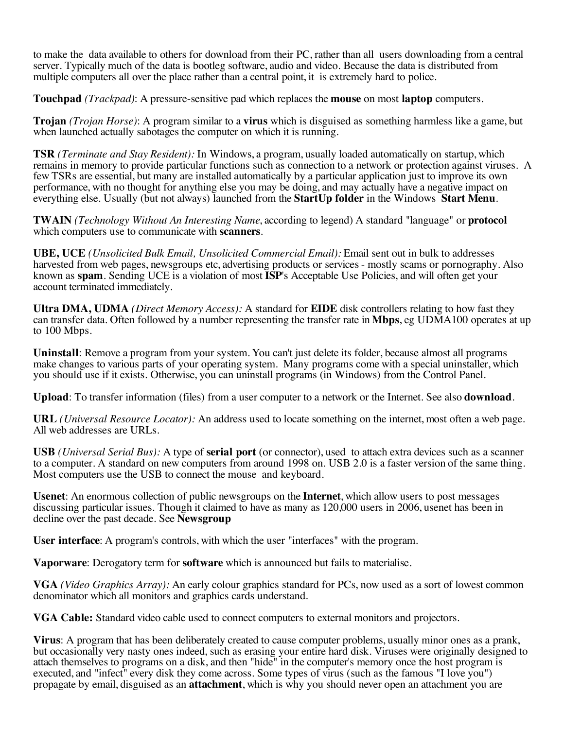to make the data available to others for download from their PC, rather than all users downloading from a central server. Typically much of the data is bootleg software, audio and video. Because the data is distributed from multiple computers all over the place rather than a central point, it is extremely hard to police.

**Touchpad** *(Trackpad)*: A pressure-sensitive pad which replaces the **mouse** on most **laptop** computers.

**Trojan** *(Trojan Horse)*: A program similar to a **virus** which is disguised as something harmless like a game, but when launched actually sabotages the computer on which it is running.

**TSR** *(Terminate and Stay Resident):* In Windows, a program, usually loaded automatically on startup, which remains in memory to provide particular functions such as connection to a network or protection against viruses. A few TSRs are essential, but many are installed automatically by a particular application just to improve its own performance, with no thought for anything else you may be doing, and may actually have a negative impact on everything else. Usually (but not always) launched from the **StartUp folder** in the Windows **Start Menu**.

**TWAIN** *(Technology Without An Interesting Name*, according to legend) A standard "language" or **protocol** which computers use to communicate with **scanners**.

**UBE, UCE** *(Unsolicited Bulk Email, Unsolicited Commercial Email):* Email sent out in bulk to addresses harvested from web pages, newsgroups etc, advertising products or services - mostly scams or pornography. Also known as **spam**. Sending UCE is a violation of most **ISP**'s Acceptable Use Policies, and will often get your account terminated immediately.

**Ultra DMA, UDMA** *(Direct Memory Access):* A standard for **EIDE** disk controllers relating to how fast they can transfer data. Often followed by a number representing the transfer rate in **Mbps**, eg UDMA100 operates at up to 100 Mbps.

**Uninstall**: Remove a program from your system. You can't just delete its folder, because almost all programs make changes to various parts of your operating system. Many programs come with a special uninstaller, which you should use if it exists. Otherwise, you can uninstall programs (in Windows) from the Control Panel.

**Upload**: To transfer information (files) from a user computer to a network or the Internet. See also **download**.

**URL** *(Universal Resource Locator):* An address used to locate something on the internet, most often a web page. All web addresses are URLs.

**USB** *(Universal Serial Bus):* A type of **serial port** (or connector), used to attach extra devices such as a scanner to a computer. A standard on new computers from around 1998 on. USB 2.0 is a faster version of the same thing. Most computers use the USB to connect the mouse and keyboard.

**Usenet**: An enormous collection of public newsgroups on the **Internet**, which allow users to post messages discussing particular issues. Though it claimed to have as many as 120,000 users in 2006, usenet has been in decline over the past decade. See **Newsgroup**

**User interface**: A program's controls, with which the user "interfaces" with the program.

**Vaporware**: Derogatory term for **software** which is announced but fails to materialise.

**VGA** *(Video Graphics Array):* An early colour graphics standard for PCs, now used as a sort of lowest common denominator which all monitors and graphics cards understand.

**VGA Cable:** Standard video cable used to connect computers to external monitors and projectors.

**Virus**: A program that has been deliberately created to cause computer problems, usually minor ones as a prank, but occasionally very nasty ones indeed, such as erasing your entire hard disk. Viruses were originally designed to attach themselves to programs on a disk, and then "hide" in the computer's memory once the host program is executed, and "infect" every disk they come across. Some types of virus (such as the famous "I love you") propagate by email, disguised as an **attachment**, which is why you should never open an attachment you are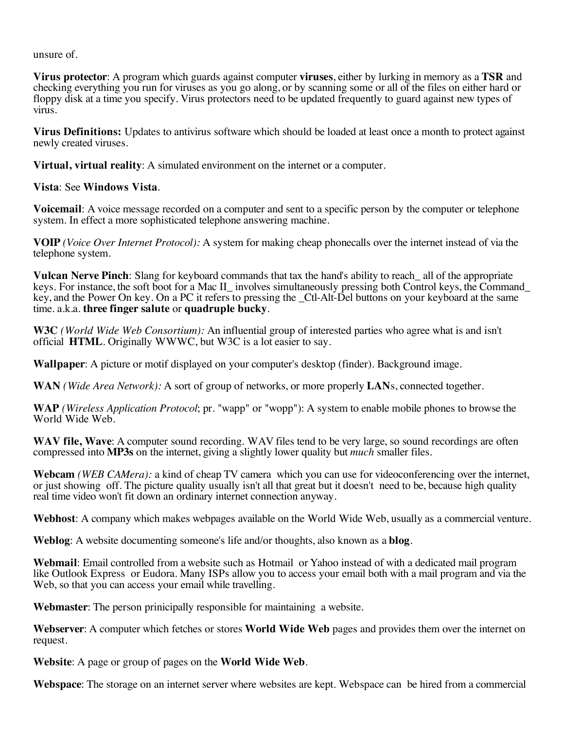unsure of.

**Virus protector**: A program which guards against computer **viruses**, either by lurking in memory as a **TSR** and checking everything you run for viruses as you go along, or by scanning some or all of the files on either hard or floppy disk at a time you specify. Virus protectors need to be updated frequently to guard against new types of virus.

**Virus Definitions:** Updates to antivirus software which should be loaded at least once a month to protect against newly created viruses.

**Virtual, virtual reality**: A simulated environment on the internet or a computer.

**Vista**: See **Windows Vista**.

**Voicemail**: A voice message recorded on a computer and sent to a specific person by the computer or telephone system. In effect a more sophisticated telephone answering machine.

**VOIP** *(Voice Over Internet Protocol):* A system for making cheap phonecalls over the internet instead of via the telephone system.

**Vulcan Nerve Pinch**: Slang for keyboard commands that tax the hand's ability to reach\_ all of the appropriate keys. For instance, the soft boot for a Mac II involves simultaneously pressing both Control keys, the Command key, and the Power On key. On a PC it refers to pressing the \_Ctl-Alt-Del buttons on your keyboard at the same time. a.k.a. **three finger salute** or **quadruple bucky**.

**W3C** *(World Wide Web Consortium):* An influential group of interested parties who agree what is and isn't official **HTML**. Originally WWWC, but W3C is a lot easier to say.

**Wallpaper**: A picture or motif displayed on your computer's desktop (finder). Background image.

**WAN** *(Wide Area Network):* A sort of group of networks, or more properly **LAN**s, connected together.

**WAP** *(Wireless Application Protocol*; pr. "wapp" or "wopp"): A system to enable mobile phones to browse the World Wide Web.

**WAV file, Wave**: A computer sound recording. WAV files tend to be very large, so sound recordings are often compressed into **MP3s** on the internet, giving a slightly lower quality but *much* smaller files.

**Webcam** *(WEB CAMera):* a kind of cheap TV camera which you can use for videoconferencing over the internet, or just showing off. The picture quality usually isn't all that great but it doesn't need to be, because high quality real time video won't fit down an ordinary internet connection anyway.

**Webhost**: A company which makes webpages available on the World Wide Web, usually as a commercial venture.

**Weblog**: A website documenting someone's life and/or thoughts, also known as a **blog**.

**Webmail**: Email controlled from a website such as Hotmail or Yahoo instead of with a dedicated mail program like Outlook Express or Eudora. Many ISPs allow you to access your email both with a mail program and via the Web, so that you can access your email while travelling.

**Webmaster**: The person prinicipally responsible for maintaining a website.

**Webserver**: A computer which fetches or stores **World Wide Web** pages and provides them over the internet on request.

**Website**: A page or group of pages on the **World Wide Web**.

**Webspace**: The storage on an internet server where websites are kept. Webspace can be hired from a commercial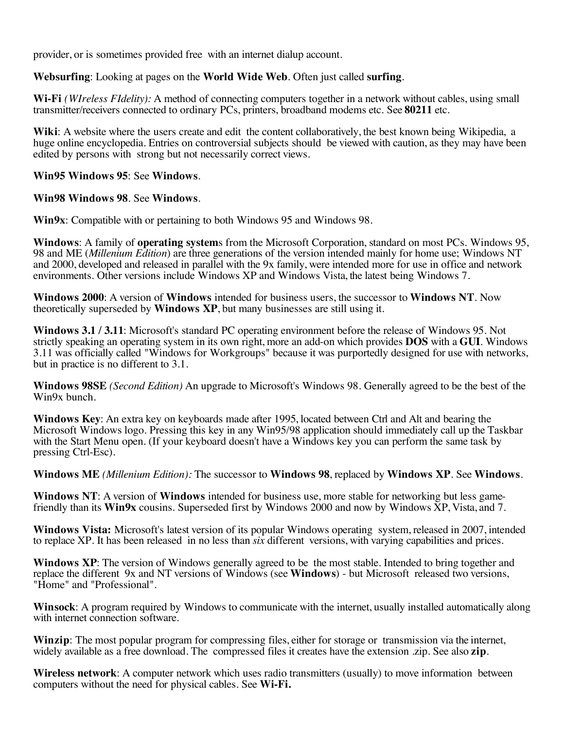provider, or is sometimes provided free with an internet dialup account.

## **Websurfing**: Looking at pages on the **World Wide Web**. Often just called **surfing**.

**Wi-Fi** *(WIreless FIdelity):* A method of connecting computers together in a network without cables, using small transmitter/receivers connected to ordinary PCs, printers, broadband modems etc. See **80211** etc.

**Wiki**: A website where the users create and edit the content collaboratively, the best known being Wikipedia, a huge online encyclopedia. Entries on controversial subjects should be viewed with caution, as they may have been edited by persons with strong but not necessarily correct views.

#### **Win95 Windows 95**: See **Windows**.

#### **Win98 Windows 98**. See **Windows**.

**Win9x**: Compatible with or pertaining to both Windows 95 and Windows 98.

**Windows**: A family of **operating system**s from the Microsoft Corporation, standard on most PCs. Windows 95, 98 and ME (*Millenium Edition*) are three generations of the version intended mainly for home use; Windows NT and 2000, developed and released in parallel with the 9x family, were intended more for use in office and network environments. Other versions include Windows XP and Windows Vista, the latest being Windows 7.

**Windows 2000**: A version of **Windows** intended for business users, the successor to **Windows NT**. Now theoretically superseded by **Windows XP**, but many businesses are still using it.

**Windows 3.1 / 3.11**: Microsoft's standard PC operating environment before the release of Windows 95. Not strictly speaking an operating system in its own right, more an add-on which provides **DOS** with a **GUI**. Windows 3.11 was officially called "Windows for Workgroups" because it was purportedly designed for use with networks, but in practice is no different to 3.1.

**Windows 98SE** *(Second Edition)* An upgrade to Microsoft's Windows 98. Generally agreed to be the best of the Win9x bunch.

**Windows Key**: An extra key on keyboards made after 1995, located between Ctrl and Alt and bearing the Microsoft Windows logo. Pressing this key in any Win95/98 application should immediately call up the Taskbar with the Start Menu open. (If your keyboard doesn't have a Windows key you can perform the same task by pressing Ctrl-Esc).

**Windows ME** *(Millenium Edition):* The successor to **Windows 98**, replaced by **Windows XP**. See **Windows**.

Windows NT: A version of Windows intended for business use, more stable for networking but less game-<br>friendly than its Win9x cousins. Superseded first by Windows 2000 and now by Windows XP, Vista, and 7.

**Windows Vista:** Microsoft's latest version of its popular Windows operating system, released in 2007, intended to replace XP. It has been released in no less than *six* different versions, with varying capabilities and prices.

**Windows XP**: The version of Windows generally agreed to be the most stable. Intended to bring together and replace the different 9x and NT versions of Windows (see **Windows**) - but Microsoft released two versions, "Home" and "Professional".

**Winsock**: A program required by Windows to communicate with the internet, usually installed automatically along with internet connection software.

**Winzip**: The most popular program for compressing files, either for storage or transmission via the internet, widely available as a free download. The compressed files it creates have the extension .zip. See also **zip**.

**Wireless network**: A computer network which uses radio transmitters (usually) to move information between computers without the need for physical cables. See **Wi-Fi.**